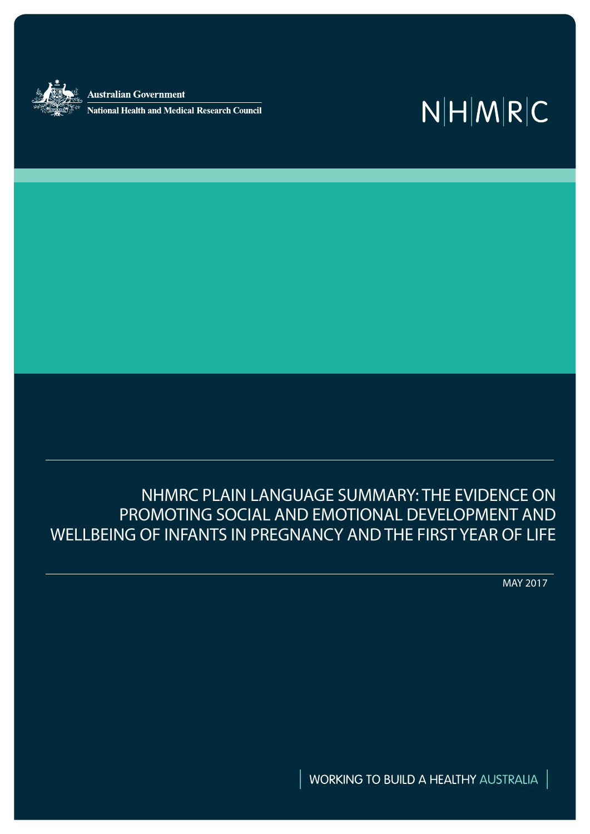**Australian Government** .<br>National Health and Medical Research Council

# $N|H|M|R|C$

NHMRC PLAIN LANGUAGE SUMMARY: THE EVIDENCE ON PROMOTING SOCIAL AND EMOTIONAL DEVELOPMENT AND WELLBEING OF INFANTS IN PREGNANCY AND THE FIRST YEAR OF LIFE

MAY 2017

WORKING TO BUILD A HEALTHY AUSTRALIA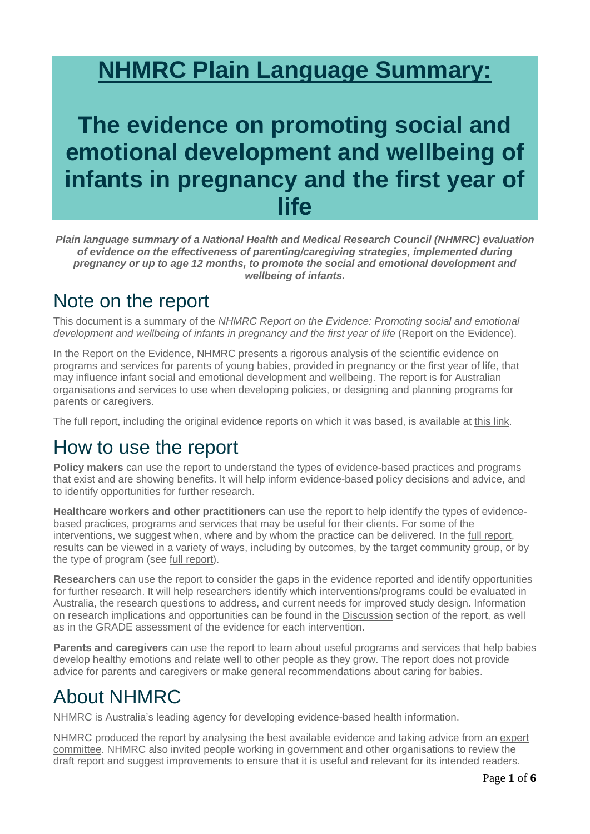# **NHMRC Plain Language Summary:**

## **The evidence on promoting social and emotional development and wellbeing of infants in pregnancy and the first year of life**

*Plain language summary of a National Health and Medical Research Council (NHMRC) evaluation of evidence on the effectiveness of parenting/caregiving strategies, implemented during pregnancy or up to age 12 months, to promote the social and emotional development and wellbeing of infants.*

#### Note on the report

This document is a summary of the *NHMRC Report on the Evidence: Promoting social and emotional development and wellbeing of infants in pregnancy and the first year of life (Report on the Evidence).* 

In the Report on the Evidence, NHMRC presents a rigorous analysis of the scientific evidence on programs and services for parents of young babies, provided in pregnancy or the first year of life, that may influence infant social and emotional development and wellbeing. The report is for Australian organisations and services to use when developing policies, or designing and planning programs for parents or caregivers.

The full report, including the original evidence reports on which it was based, is available at [this link.](https://www.nhmrc.gov.au/book/promoting-social-and-emotional-development-and-wellbeing-infants-nhmrc-report-evidence)

#### How to use the report

**Policy makers** can use the report to understand the types of evidence-based practices and programs that exist and are showing benefits. It will help inform evidence-based policy decisions and advice, and to identify opportunities for further research.

**Healthcare workers and other practitioners** can use the report to help identify the types of evidencebased practices, programs and services that may be useful for their clients. For some of the interventions, we suggest when, where and by whom the practice can be delivered. In the [full report,](https://www.nhmrc.gov.au/book/promoting-social-and-emotional-development-and-wellbeing-infants-nhmrc-report-evidence) results can be viewed in a variety of ways, including by outcomes, by the target community group, or by the type of program (see [full report\)](https://www.nhmrc.gov.au/book/promoting-social-and-emotional-development-and-wellbeing-infants-nhmrc-report-evidence).

**Researchers** can use the report to consider the gaps in the evidence reported and identify opportunities for further research. It will help researchers identify which interventions/programs could be evaluated in Australia, the research questions to address, and current needs for improved study design. Information on research implications and opportunities can be found in the [Discussion](https://www.nhmrc.gov.au/book/promoting-social-and-emotional-development-and-wellbeing-infants-nhmrc-report-evidence-1-0) section of the report, as well as in the GRADE assessment of the evidence for each intervention.

**Parents and caregivers** can use the report to learn about useful programs and services that help babies develop healthy emotions and relate well to other people as they grow. The report does not provide advice for parents and caregivers or make general recommendations about caring for babies.

### About NHMRC

NHMRC is Australia's leading agency for developing evidence-based health information.

NHMRC produced the report by analysing the best available evidence and taking advice from an [expert](https://www.nhmrc.gov.au/health-topics/parenting-and-child-wellbeing)  [committee.](https://www.nhmrc.gov.au/health-topics/parenting-and-child-wellbeing) NHMRC also invited people working in government and other organisations to review the draft report and suggest improvements to ensure that it is useful and relevant for its intended readers.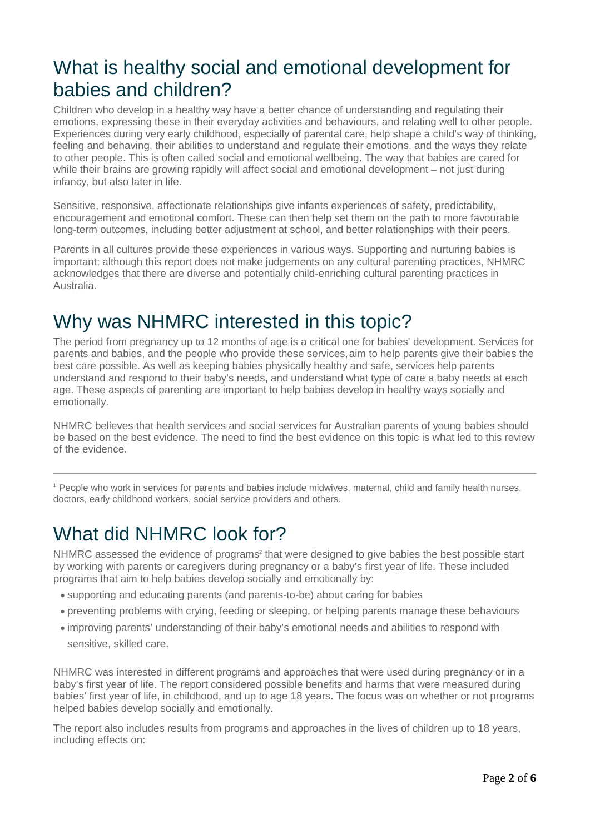#### [What is healthy social and emotional development for](https://www.nhmrc.gov.au/book/promoting-social-and-emotional-development-and-wellbeing-infants-nhmrc-report-evidence-5)  [babies and children?](https://www.nhmrc.gov.au/book/promoting-social-and-emotional-development-and-wellbeing-infants-nhmrc-report-evidence-5)

Children who develop in a healthy way have a better chance of understanding and regulating their emotions, expressing these in their everyday activities and behaviours, and relating well to other people. Experiences during very early childhood, especially of parental care, help shape a child's way of thinking, feeling and behaving, their abilities to understand and regulate their emotions, and the ways they relate to other people. This is often called social and emotional wellbeing. The way that babies are cared for while their brains are growing rapidly will affect social and emotional development – not just during infancy, but also later in life.

Sensitive, responsive, affectionate relationships give infants experiences of safety, predictability, encouragement and emotional comfort. These can then help set them on the path to more favourable long-term outcomes, including better adjustment at school, and better relationships with their peers.

Parents in all cultures provide these experiences in various ways. Supporting and nurturing babies is important; although this report does not make judgements on any cultural parenting practices, NHMRC acknowledges that there are diverse and potentially child-enriching cultural parenting practices in Australia.

### [Why was NHMRC interested in this topic?](https://www.nhmrc.gov.au/book/promoting-social-and-emotional-development-and-wellbeing-infants-nhmrc-report-evidence-5)

The period from pregnancy up to 12 months of age is a critical one for babies' development. Services for parents and babies, and the people who provide these services,aim to help parents give their babies the best care possible. As well as keeping babies physically healthy and safe, services help parents understand and respond to their baby's needs, and understand what type of care a baby needs at each age. These aspects of parenting are important to help babies develop in healthy ways socially and emotionally.

NHMRC believes that health services and social services for Australian parents of young babies should be based on the best evidence. The need to find the best evidence on this topic is what led to this review of the evidence.

<sup>1</sup> People who work in services for parents and babies include midwives, maternal, child and family health nurses, [doctors, early childhood workers, social service providers and others.](https://www.nhmrc.gov.au/book/promoting-social-and-emotional-development-and-wellbeing-infants-nhmrc-report-evidence-5)

### [What did NHMRC look for?](https://www.nhmrc.gov.au/book/promoting-social-and-emotional-development-and-wellbeing-infants-nhmrc-report-evidence-5)

NHMRC assessed the evidence of programs<sup>2</sup> that were designed to give babies the best possible start by working with parents or caregivers during pregnancy or a baby's first year of life. These included programs that aim to help babies develop socially and emotionally by:

- supporting and educating parents (and parents-to-be) about caring for babies
- preventing problems with crying, feeding or sleeping, or helping parents manage these behaviours
- improving parents' understanding of their baby's emotional needs and abilities to respond with sensitive, skilled care.

NHMRC was interested in different programs and approaches that were used during pregnancy or in a baby's first year of life. The report considered possible benefits and harms that were measured during babies' first year of life, in childhood, and up to age 18 years. The focus was on whether or not programs helped babies develop socially and emotionally.

The report also includes results from programs and approaches in the lives of children up to 18 years, including effects on: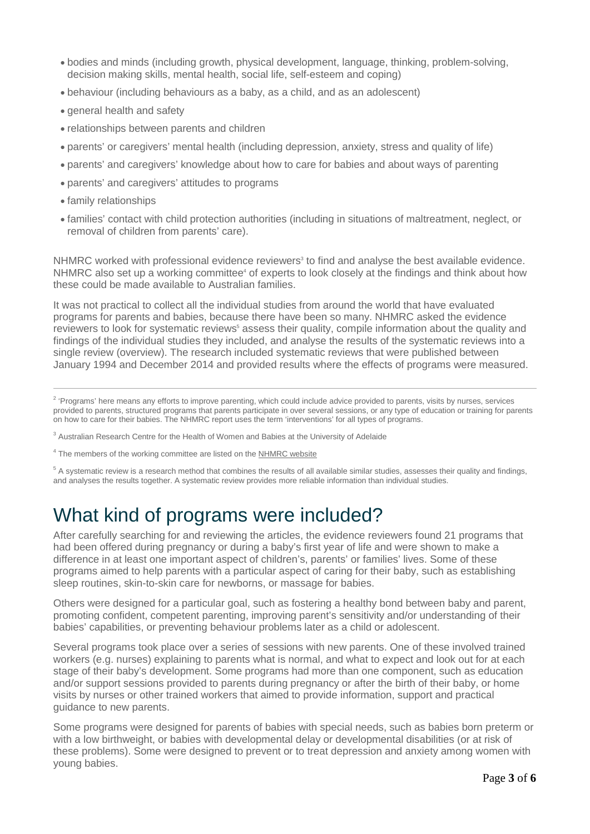- bodies and minds (including growth, physical development, language, thinking, problem-solving, decision making skills, mental health, social life, self-esteem and coping)
- behaviour (including behaviours as a baby, as a child, and as an adolescent)
- general health and safety
- relationships between parents and children
- parents' or caregivers' mental health (including depression, anxiety, stress and quality of life)
- parents' and caregivers' knowledge about how to care for babies and about ways of parenting
- parents' and caregivers' attitudes to programs
- family relationships
- families' contact with child protection authorities (including in situations of maltreatment, neglect, or removal of children from parents' care).

NHMRC worked with professional evidence reviewers<sup>3</sup> to find and analyse the best available evidence. NHMRC also set up a working committee<sup>4</sup> of experts to look closely at the findings and think about how these could be made available to Australian families.

It was not practical to collect all the individual studies from around the world that have evaluated programs for parents and babies, because there have been so many. NHMRC asked the evidence reviewers to look for systematic reviews<sup>5</sup> assess their quality, compile information about the quality and findings of the individual studies they included, and analyse the results of the systematic reviews into a single review (overview). The research included systematic reviews that were published between January 1994 and December 2014 and provided results where the effects of programs were measured.

<sup>2</sup> 'Programs' here means any efforts to improve parenting, which could include advice provided to parents, visits by nurses, services provided to parents, structured programs that parents participate in over several sessions, or any type of education or training for parents on how to care for their babies. The NHMRC report uses the term 'interventions' for all types of programs.

<sup>3</sup> Australian Research Centre for the Health of Women and Babies at the University of Adelaide

<sup>4</sup> The members of the working committee are listed on the [NHMRC website](https://www.nhmrc.gov.au/health-topics/parenting-and-child-wellbeing)

 $<sup>5</sup>$  A systematic review is a research method that combines the results of all available similar studies, assesses their quality and findings,</sup> and analyses the results together. A systematic review provides more reliable information than individual studies.

### [What kind of programs were included?](https://www.nhmrc.gov.au/book/promoting-social-and-emotional-development-and-wellbeing-infants-nhmrc-report-evidence-5)

After carefully searching for and reviewing the articles, the evidence reviewers found 21 programs that had been offered during pregnancy or during a baby's first year of life and were shown to make a difference in at least one important aspect of children's, parents' or families' lives. Some of these programs aimed to help parents with a particular aspect of caring for their baby, such as establishing sleep routines, skin-to-skin care for newborns, or massage for babies.

Others were designed for a particular goal, such as fostering a healthy bond between baby and parent, promoting confident, competent parenting, improving parent's sensitivity and/or understanding of their babies' capabilities, or preventing behaviour problems later as a child or adolescent.

Several programs took place over a series of sessions with new parents. One of these involved trained workers (e.g. nurses) explaining to parents what is normal, and what to expect and look out for at each stage of their baby's development. Some programs had more than one component, such as education and/or support sessions provided to parents during pregnancy or after the birth of their baby, or home visits by nurses or other trained workers that aimed to provide information, support and practical guidance to new parents.

Some programs were designed for parents of babies with special needs, such as babies born preterm or with a low birthweight, or babies with developmental delay or developmental disabilities (or at risk of these problems). Some were designed to prevent or to treat depression and anxiety among women with young babies.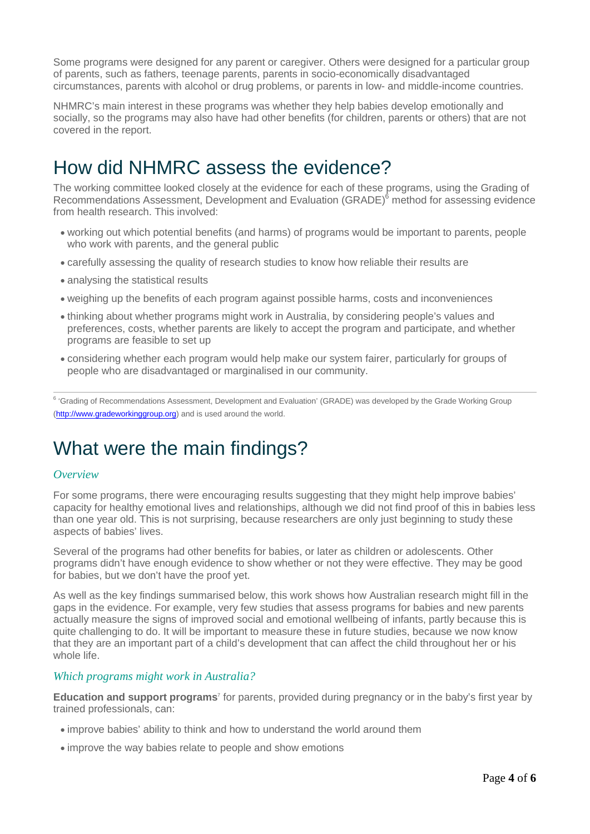Some programs were designed for any parent or caregiver. Others were designed for a particular group of parents, such as fathers, teenage parents, parents in socio-economically disadvantaged circumstances, parents with alcohol or drug problems, or parents in low- and middle-income countries.

NHMRC's main interest in these programs was whether they help babies develop emotionally and socially, so the programs may also have had other benefits (for children, parents or others) that are not covered in the report.

#### How [did NHMRC assess the evidence?](https://www.nhmrc.gov.au/book/promoting-social-and-emotional-development-and-wellbeing-infants-nhmrc-report-evidence-5)

The working committee looked closely at the evidence for each of these programs, using the Grading of Recommendations Assessment, Development and Evaluation (GRADE)<sup>6</sup> method for assessing evidence from health research. This involved:

- working out which potential benefits (and harms) of programs would be important to parents, people who work with parents, and the general public
- carefully assessing the quality of research studies to know how reliable their results are
- analysing the statistical results
- weighing up the benefits of each program against possible harms, costs and inconveniences
- thinking about whether programs might work in Australia, by considering people's values and preferences, costs, whether parents are likely to accept the program and participate, and whether programs are feasible to set up
- considering whether each program would help make our system fairer, particularly for groups of people who are disadvantaged or marginalised in our community.

<sup>6</sup> 'Grading of Recommendations Assessment, Development and Evaluation' (GRADE) was developed by the Grade Working Group (http://www.gradeworkinggroup.org) and is used around the world.

#### What [were the main findings?](https://www.nhmrc.gov.au/book/promoting-social-and-emotional-development-and-wellbeing-infants-nhmrc-report-evidence-5)

#### *Overview*

For some programs, there were encouraging results suggesting that they might help improve babies' capacity for healthy emotional lives and relationships, although we did not find proof of this in babies less than one year old. This is not surprising, because researchers are only just beginning to study these aspects of babies' lives.

Several of the programs had other benefits for babies, or later as children or adolescents. Other programs didn't have enough evidence to show whether or not they were effective. They may be good for babies, but we don't have the proof yet.

As well as the key findings summarised below, this work shows how Australian research might fill in the gaps in the evidence. For example, very few studies that assess programs for babies and new parents actually measure the signs of improved social and emotional wellbeing of infants, partly because this is quite challenging to do. It will be important to measure these in future studies, because we now know that they are an important part of a child's development that can affect the child throughout her or his whole life.

#### *Which programs might work in Australia?*

**Education and support programs**<sup>7</sup> for parents, provided during pregnancy or in the baby's first year by trained professionals, can:

- improve babies' ability to think and how to understand the world around them
- improve the way babies relate to people and show emotions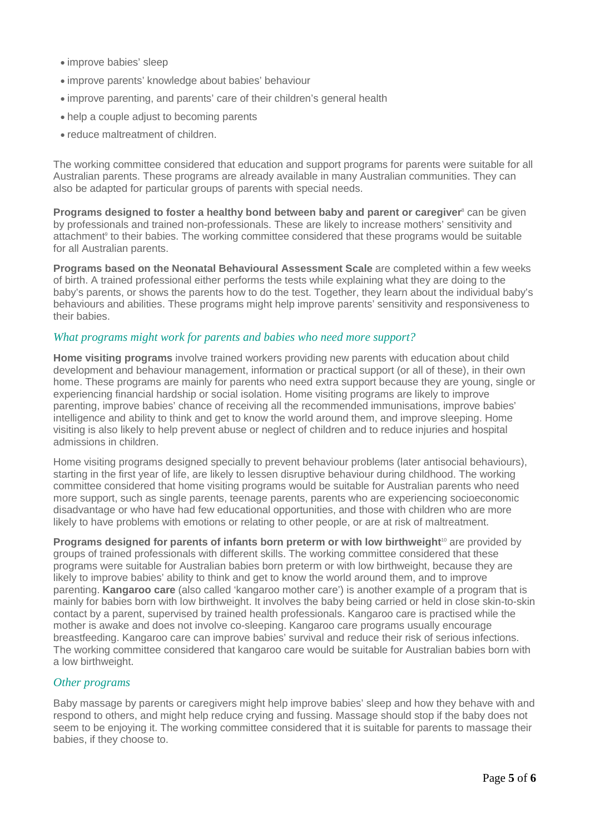- improve babies' sleep
- improve parents' knowledge about babies' behaviour
- improve parenting, and parents' care of their children's general health
- help a couple adjust to becoming parents
- reduce maltreatment of children.

The working committee considered that education and support programs for parents were suitable for all Australian parents. These programs are already available in many Australian communities. They can also be adapted for particular groups of parents with special needs.

**Programs designed to foster a healthy bond between baby and parent or caregiver**<sup>8</sup> can be given by professionals and trained non-professionals. These are likely to increase mothers' sensitivity and attachment<sup>9</sup> to their babies. The working committee considered that these programs would be suitable for all Australian parents.

**Programs based on the Neonatal Behavioural Assessment Scale** are completed within a few weeks of birth. A trained professional either performs the tests while explaining what they are doing to the baby's parents, or shows the parents how to do the test. Together, they learn about the individual baby's behaviours and abilities. These programs might help improve parents' sensitivity and responsiveness to their babies.

#### *What programs might work for parents and babies who need more support?*

**Home visiting programs** involve trained workers providing new parents with education about child development and behaviour management, information or practical support (or all of these), in their own home. These programs are mainly for parents who need extra support because they are young, single or experiencing financial hardship or social isolation. Home visiting programs are likely to improve parenting, improve babies' chance of receiving all the recommended immunisations, improve babies' intelligence and ability to think and get to know the world around them, and improve sleeping. Home visiting is also likely to help prevent abuse or neglect of children and to reduce injuries and hospital admissions in children.

Home visiting programs designed specially to prevent behaviour problems (later antisocial behaviours), starting in the first year of life, are likely to lessen disruptive behaviour during childhood. The working committee considered that home visiting programs would be suitable for Australian parents who need more support, such as single parents, teenage parents, parents who are experiencing socioeconomic disadvantage or who have had few educational opportunities, and those with children who are more likely to have problems with emotions or relating to other people, or are at risk of maltreatment.

**Programs designed for parents of infants born preterm or with low birthweight**<sup>10</sup> are provided by groups of trained professionals with different skills. The working committee considered that these programs were suitable for Australian babies born preterm or with low birthweight, because they are likely to improve babies' ability to think and get to know the world around them, and to improve parenting. **Kangaroo care** (also called 'kangaroo mother care') is another example of a program that is mainly for babies born with low birthweight. It involves the baby being carried or held in close skin-to-skin contact by a parent, supervised by trained health professionals. Kangaroo care is practised while the mother is awake and does not involve co-sleeping. Kangaroo care programs usually encourage breastfeeding. Kangaroo care can improve babies' survival and reduce their risk of serious infections. The working committee considered that kangaroo care would be suitable for Australian babies born with a low birthweight.

#### *Other programs*

Baby massage by parents or caregivers might help improve babies' sleep and how they behave with and respond to others, and might help reduce crying and fussing. Massage should stop if the baby does not seem to be enjoying it. The working committee considered that it is suitable for parents to massage their babies, if they choose to.